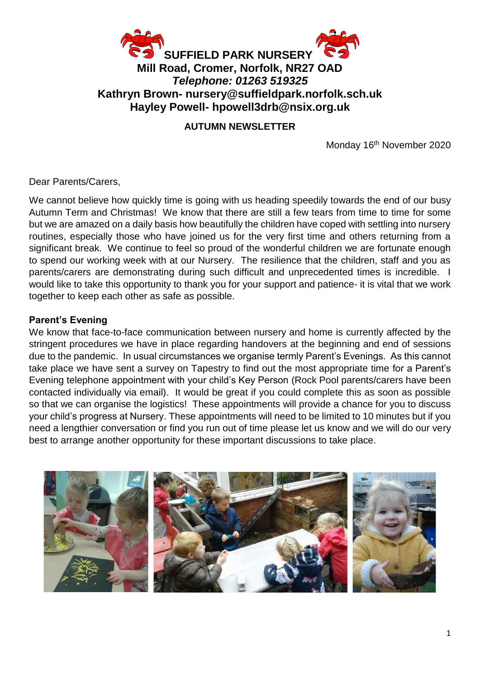

#### **AUTUMN NEWSLETTER**

Monday 16<sup>th</sup> November 2020

Dear Parents/Carers,

We cannot believe how quickly time is going with us heading speedily towards the end of our busy Autumn Term and Christmas! We know that there are still a few tears from time to time for some but we are amazed on a daily basis how beautifully the children have coped with settling into nursery routines, especially those who have joined us for the very first time and others returning from a significant break. We continue to feel so proud of the wonderful children we are fortunate enough to spend our working week with at our Nursery. The resilience that the children, staff and you as parents/carers are demonstrating during such difficult and unprecedented times is incredible. I would like to take this opportunity to thank you for your support and patience- it is vital that we work together to keep each other as safe as possible.

#### **Parent's Evening**

We know that face-to-face communication between nursery and home is currently affected by the stringent procedures we have in place regarding handovers at the beginning and end of sessions due to the pandemic. In usual circumstances we organise termly Parent's Evenings. As this cannot take place we have sent a survey on Tapestry to find out the most appropriate time for a Parent's Evening telephone appointment with your child's Key Person (Rock Pool parents/carers have been contacted individually via email). It would be great if you could complete this as soon as possible so that we can organise the logistics! These appointments will provide a chance for you to discuss your child's progress at Nursery. These appointments will need to be limited to 10 minutes but if you need a lengthier conversation or find you run out of time please let us know and we will do our very best to arrange another opportunity for these important discussions to take place.

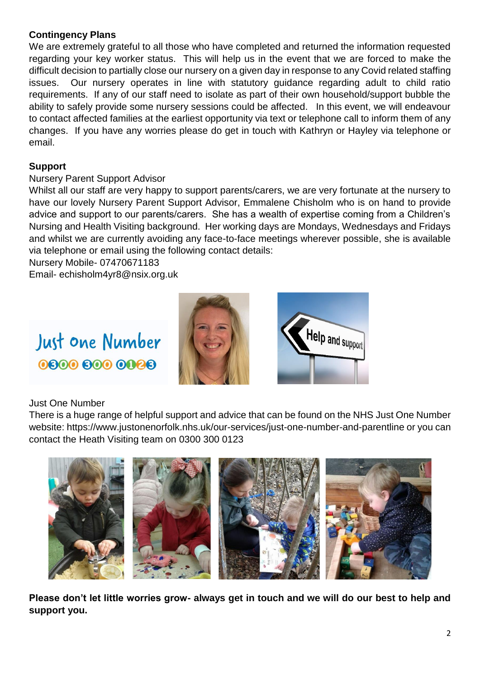### **Contingency Plans**

We are extremely grateful to all those who have completed and returned the information requested regarding your key worker status. This will help us in the event that we are forced to make the difficult decision to partially close our nursery on a given day in response to any Covid related staffing issues. Our nursery operates in line with statutory guidance regarding adult to child ratio requirements. If any of our staff need to isolate as part of their own household/support bubble the ability to safely provide some nursery sessions could be affected. In this event, we will endeavour to contact affected families at the earliest opportunity via text or telephone call to inform them of any changes. If you have any worries please do get in touch with Kathryn or Hayley via telephone or email.

#### **Support**

#### Nursery Parent Support Advisor

Whilst all our staff are very happy to support parents/carers, we are very fortunate at the nursery to have our lovely Nursery Parent Support Advisor, Emmalene Chisholm who is on hand to provide advice and support to our parents/carers. She has a wealth of expertise coming from a Children's Nursing and Health Visiting background. Her working days are Mondays, Wednesdays and Fridays and whilst we are currently avoiding any face-to-face meetings wherever possible, she is available via telephone or email using the following contact details:

Nursery Mobile- 07470671183

Email- [echisholm4yr8@nsix.org.uk](mailto:echisholm4yr8@nsix.org.uk)

# Just one Number 0800 800 0088





Just One Number

There is a huge range of helpful support and advice that can be found on the NHS Just One Number website:<https://www.justonenorfolk.nhs.uk/our-services/just-one-number-and-parentline> or you can contact the Heath Visiting team on 0300 300 0123



**Please don't let little worries grow- always get in touch and we will do our best to help and support you.**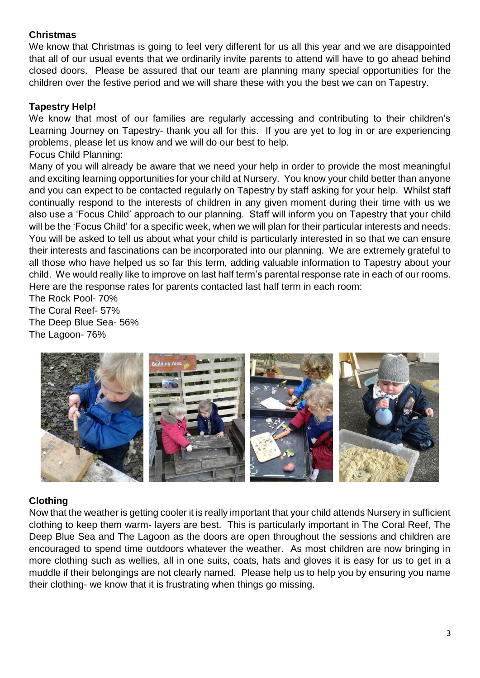#### **Christmas**

We know that Christmas is going to feel very different for us all this year and we are disappointed that all of our usual events that we ordinarily invite parents to attend will have to go ahead behind closed doors. Please be assured that our team are planning many special opportunities for the children over the festive period and we will share these with you the best we can on Tapestry.

#### **Tapestry Help!**

We know that most of our families are regularly accessing and contributing to their children's Learning Journey on Tapestry- thank you all for this. If you are yet to log in or are experiencing problems, please let us know and we will do our best to help. Focus Child Planning:

Many of you will already be aware that we need your help in order to provide the most meaningful and exciting learning opportunities for your child at Nursery. You know your child better than anyone and you can expect to be contacted regularly on Tapestry by staff asking for your help. Whilst staff continually respond to the interests of children in any given moment during their time with us we also use a 'Focus Child' approach to our planning. Staff will inform you on Tapestry that your child will be the 'Focus Child' for a specific week, when we will plan for their particular interests and needs. You will be asked to tell us about what your child is particularly interested in so that we can ensure their interests and fascinations can be incorporated into our planning. We are extremely grateful to all those who have helped us so far this term, adding valuable information to Tapestry about your child. We would really like to improve on last half term's parental response rate in each of our rooms. Here are the response rates for parents contacted last half term in each room:

The Rock Pool- 70% The Coral Reef- 57% The Deep Blue Sea- 56% The Lagoon- 76%



#### **Clothing**

Now that the weather is getting cooler it is really important that your child attends Nursery in sufficient clothing to keep them warm- layers are best. This is particularly important in The Coral Reef, The Deep Blue Sea and The Lagoon as the doors are open throughout the sessions and children are encouraged to spend time outdoors whatever the weather. As most children are now bringing in more clothing such as wellies, all in one suits, coats, hats and gloves it is easy for us to get in a muddle if their belongings are not clearly named. Please help us to help you by ensuring you name their clothing- we know that it is frustrating when things go missing.